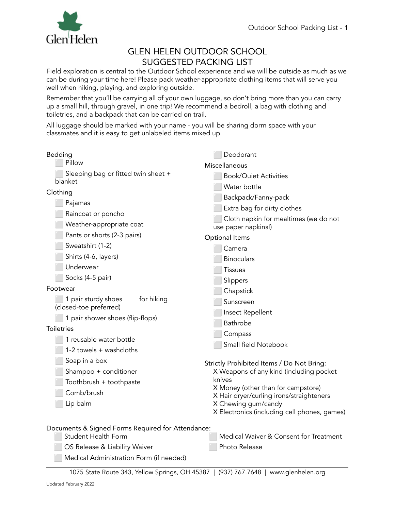

## GLEN HELEN OUTDOOR SCHOOL SUGGESTED PACKING LIST

Field exploration is central to the Outdoor School experience and we will be outside as much as we can be during your time here! Please pack weather-appropriate clothing items that will serve you well when hiking, playing, and exploring outside.

Remember that you'll be carrying all of your own luggage, so don't bring more than you can carry up a small hill, through gravel, in one trip! We recommend a bedroll, a bag with clothing and toiletries, and a backpack that can be carried on trail.

All luggage should be marked with your name - you will be sharing dorm space with your classmates and it is easy to get unlabeled items mixed up.

| Bedding<br>Pillow                                                        | Deodorant<br>Miscellaneous                                          |
|--------------------------------------------------------------------------|---------------------------------------------------------------------|
| Sleeping bag or fitted twin sheet +<br>blanket                           | <b>Book/Quiet Activities</b><br>Water bottle                        |
| Clothing                                                                 | Backpack/Fanny-pack                                                 |
| Pajamas                                                                  | Extra bag for dirty clothes                                         |
| Raincoat or poncho                                                       | Cloth napkin for mealtimes (we do not                               |
| Weather-appropriate coat                                                 | use paper napkins!)                                                 |
| Pants or shorts (2-3 pairs)                                              | Optional Items                                                      |
| Sweatshirt (1-2)                                                         | Camera                                                              |
| Shirts (4-6, layers)                                                     | <b>Binoculars</b>                                                   |
| Underwear                                                                | Tissues                                                             |
| Socks (4-5 pair)                                                         | Slippers                                                            |
| Footwear                                                                 | Chapstick                                                           |
| for hiking<br>1 pair sturdy shoes<br>(closed-toe preferred)              | Sunscreen                                                           |
| 1 pair shower shoes (flip-flops)                                         | Insect Repellent                                                    |
| <b>Toiletries</b>                                                        | <b>Bathrobe</b>                                                     |
| 1 reusable water bottle                                                  | Compass                                                             |
| 1-2 towels + washcloths                                                  | Small field Notebook                                                |
|                                                                          |                                                                     |
| Soap in a box                                                            | Strictly Prohibited Items / Do Not Bring:                           |
| Shampoo + conditioner                                                    | X Weapons of any kind (including pocket<br>knives                   |
| Toothbrush + toothpaste<br>Comb/brush                                    | X Money (other than for campstore)                                  |
|                                                                          | X Hair dryer/curling irons/straighteners                            |
| Lip balm                                                                 | X Chewing gum/candy<br>X Electronics (including cell phones, games) |
|                                                                          |                                                                     |
| Documents & Signed Forms Required for Attendance:<br>Student Health Form | Medical Waiver & Consent for Treatment                              |
|                                                                          | Photo Release                                                       |
| OS Release & Liability Waiver<br>Medical Administration Form (if needed) |                                                                     |